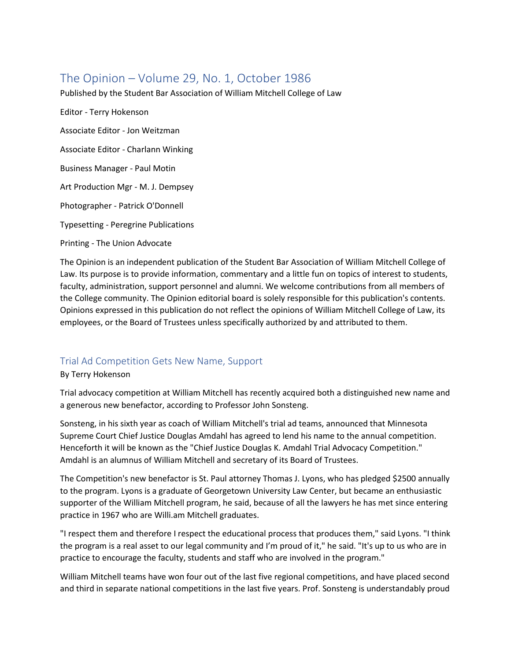# The Opinion – Volume 29, No. 1, October 1986

Published by the Student Bar Association of William Mitchell College of Law

Editor - Terry Hokenson Associate Editor - Jon Weitzman Associate Editor - Charlann Winking Business Manager - Paul Motin Art Production Mgr - M. J. Dempsey Photographer - Patrick O'Donnell Typesetting - Peregrine Publications Printing - The Union Advocate

The Opinion is an independent publication of the Student Bar Association of William Mitchell College of Law. Its purpose is to provide information, commentary and a little fun on topics of interest to students, faculty, administration, support personnel and alumni. We welcome contributions from all members of the College community. The Opinion editorial board is solely responsible for this publication's contents. Opinions expressed in this publication do not reflect the opinions of William Mitchell College of Law, its employees, or the Board of Trustees unless specifically authorized by and attributed to them.

## Trial Ad Competition Gets New Name, Support

## By Terry Hokenson

Trial advocacy competition at William Mitchell has recently acquired both a distinguished new name and a generous new benefactor, according to Professor John Sonsteng.

Sonsteng, in his sixth year as coach of William Mitchell's trial ad teams, announced that Minnesota Supreme Court Chief Justice Douglas Amdahl has agreed to lend his name to the annual competition. Henceforth it will be known as the "Chief Justice Douglas K. Amdahl Trial Advocacy Competition." Amdahl is an alumnus of William Mitchell and secretary of its Board of Trustees.

The Competition's new benefactor is St. Paul attorney Thomas J. Lyons, who has pledged \$2500 annually to the program. Lyons is a graduate of Georgetown University Law Center, but became an enthusiastic supporter of the William Mitchell program, he said, because of all the lawyers he has met since entering practice in 1967 who are Willi.am Mitchell graduates.

"I respect them and therefore I respect the educational process that produces them," said Lyons. "I think the program is a real asset to our legal community and I'm proud of it," he said. "It's up to us who are in practice to encourage the faculty, students and staff who are involved in the program."

William Mitchell teams have won four out of the last five regional competitions, and have placed second and third in separate national competitions in the last five years. Prof. Sonsteng is understandably proud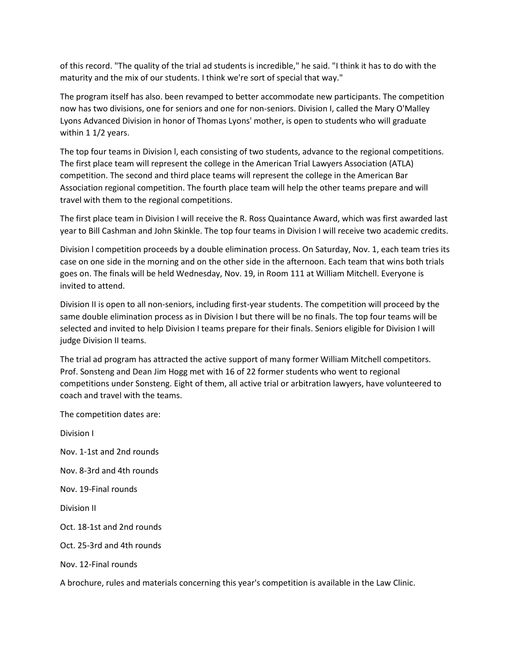of this record. "The quality of the trial ad students is incredible," he said. "I think it has to do with the maturity and the mix of our students. I think we're sort of special that way."

The program itself has also. been revamped to better accommodate new participants. The competition now has two divisions, one for seniors and one for non-seniors. Division I, called the Mary O'Malley Lyons Advanced Division in honor of Thomas Lyons' mother, is open to students who will graduate within 1 1/2 years.

The top four teams in Division l, each consisting of two students, advance to the regional competitions. The first place team will represent the college in the American Trial Lawyers Association (ATLA) competition. The second and third place teams will represent the college in the American Bar Association regional competition. The fourth place team will help the other teams prepare and will travel with them to the regional competitions.

The first place team in Division I will receive the R. Ross Quaintance Award, which was first awarded last year to Bill Cashman and John Skinkle. The top four teams in Division I will receive two academic credits.

Division l competition proceeds by a double elimination process. On Saturday, Nov. 1, each team tries its case on one side in the morning and on the other side in the afternoon. Each team that wins both trials goes on. The finals will be held Wednesday, Nov. 19, in Room 111 at William Mitchell. Everyone is invited to attend.

Division II is open to all non-seniors, including first-year students. The competition will proceed by the same double elimination process as in Division I but there will be no finals. The top four teams will be selected and invited to help Division I teams prepare for their finals. Seniors eligible for Division I will judge Division II teams.

The trial ad program has attracted the active support of many former William Mitchell competitors. Prof. Sonsteng and Dean Jim Hogg met with 16 of 22 former students who went to regional competitions under Sonsteng. Eight of them, all active trial or arbitration lawyers, have volunteered to coach and travel with the teams.

The competition dates are:

Division I Nov. 1-1st and 2nd rounds Nov. 8-3rd and 4th rounds Nov. 19-Final rounds Division II Oct. 18-1st and 2nd rounds Oct. 25-3rd and 4th rounds Nov. 12-Final rounds

A brochure, rules and materials concerning this year's competition is available in the Law Clinic.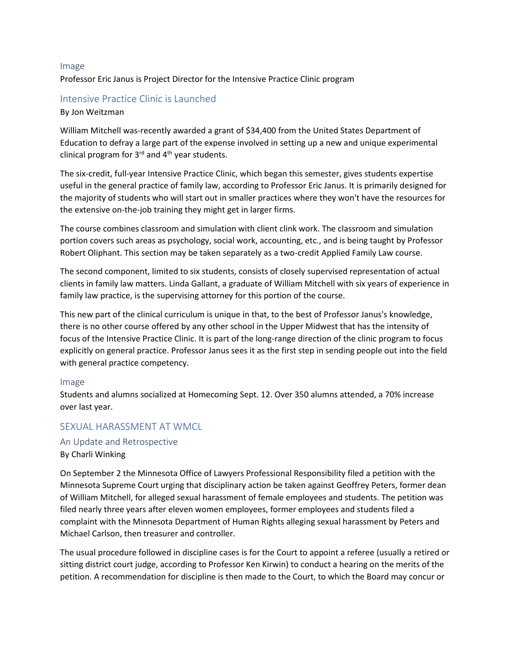#### Image

Professor Eric Janus is Project Director for the Intensive Practice Clinic program

#### Intensive Practice Clinic is Launched

#### By Jon Weitzman

William Mitchell was-recently awarded a grant of \$34,400 from the United States Department of Education to defray a large part of the expense involved in setting up a new and unique experimental clinical program for  $3^{rd}$  and  $4^{th}$  year students.

The six-credit, full-year Intensive Practice Clinic, which began this semester, gives students expertise useful in the general practice of family law, according to Professor Eric Janus. It is primarily designed for the majority of students who will start out in smaller practices where they won't have the resources for the extensive on-the-job training they might get in larger firms.

The course combines classroom and simulation with client clink work. The classroom and simulation portion covers such areas as psychology, social work, accounting, etc., and is being taught by Professor Robert Oliphant. This section may be taken separately as a two-credit Applied Family Law course.

The second component, limited to six students, consists of closely supervised representation of actual clients in family law matters. Linda Gallant, a graduate of William Mitchell with six years of experience in family law practice, is the supervising attorney for this portion of the course.

This new part of the clinical curriculum is unique in that, to the best of Professor Janus's knowledge, there is no other course offered by any other school in the Upper Midwest that has the intensity of focus of the Intensive Practice Clinic. It is part of the long-range direction of the clinic program to focus explicitly on general practice. Professor Janus sees it as the first step in sending people out into the field with general practice competency.

#### Image

Students and alumns socialized at Homecoming Sept. 12. Over 350 alumns attended, a 70% increase over last year.

## SEXUAL HARASSMENT AT WMCL

## An Update and Retrospective

#### By Charli Winking

On September 2 the Minnesota Office of Lawyers Professional Responsibility filed a petition with the Minnesota Supreme Court urging that disciplinary action be taken against Geoffrey Peters, former dean of William Mitchell, for alleged sexual harassment of female employees and students. The petition was filed nearly three years after eleven women employees, former employees and students filed a complaint with the Minnesota Department of Human Rights alleging sexual harassment by Peters and Michael Carlson, then treasurer and controller.

The usual procedure followed in discipline cases is for the Court to appoint a referee (usually a retired or sitting district court judge, according to Professor Ken Kirwin) to conduct a hearing on the merits of the petition. A recommendation for discipline is then made to the Court, to which the Board may concur or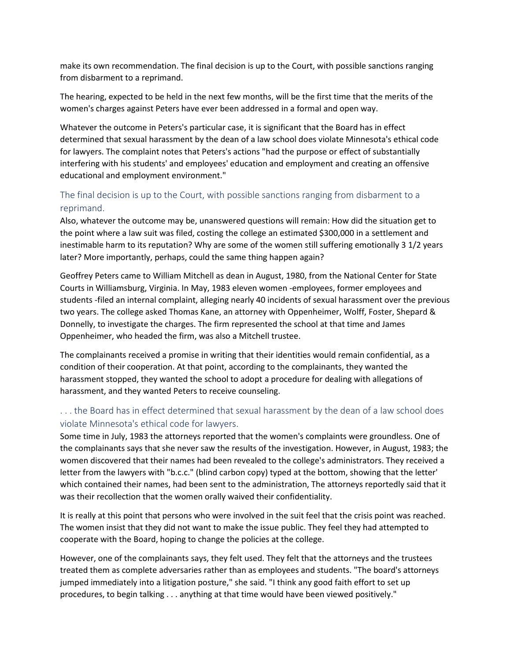make its own recommendation. The final decision is up to the Court, with possible sanctions ranging from disbarment to a reprimand.

The hearing, expected to be held in the next few months, will be the first time that the merits of the women's charges against Peters have ever been addressed in a formal and open way.

Whatever the outcome in Peters's particular case, it is significant that the Board has in effect determined that sexual harassment by the dean of a law school does violate Minnesota's ethical code for lawyers. The complaint notes that Peters's actions "had the purpose or effect of substantially interfering with his students' and employees' education and employment and creating an offensive educational and employment environment."

## The final decision is up to the Court, with possible sanctions ranging from disbarment to a reprimand.

Also, whatever the outcome may be, unanswered questions will remain: How did the situation get to the point where a law suit was filed, costing the college an estimated \$300,000 in a settlement and inestimable harm to its reputation? Why are some of the women still suffering emotionally 3 1/2 years later? More importantly, perhaps, could the same thing happen again?

Geoffrey Peters came to William Mitchell as dean in August, 1980, from the National Center for State Courts in Williamsburg, Virginia. In May, 1983 eleven women -employees, former employees and students -filed an internal complaint, alleging nearly 40 incidents of sexual harassment over the previous two years. The college asked Thomas Kane, an attorney with Oppenheimer, Wolff, Foster, Shepard & Donnelly, to investigate the charges. The firm represented the school at that time and James Oppenheimer, who headed the firm, was also a Mitchell trustee.

The complainants received a promise in writing that their identities would remain confidential, as a condition of their cooperation. At that point, according to the complainants, they wanted the harassment stopped, they wanted the school to adopt a procedure for dealing with allegations of harassment, and they wanted Peters to receive counseling.

## . . . the Board has in effect determined that sexual harassment by the dean of a law school does violate Minnesota's ethical code for lawyers.

Some time in July, 1983 the attorneys reported that the women's complaints were groundless. One of the complainants says that she never saw the results of the investigation. However, in August, 1983; the women discovered that their names had been revealed to the college's administrators. They received a letter from the lawyers with "b.c.c." (blind carbon copy) typed at the bottom, showing that the letter' which contained their names, had been sent to the administration, The attorneys reportedly said that it was their recollection that the women orally waived their confidentiality.

It is really at this point that persons who were involved in the suit feel that the crisis point was reached. The women insist that they did not want to make the issue public. They feel they had attempted to cooperate with the Board, hoping to change the policies at the college.

However, one of the complainants says, they felt used. They felt that the attorneys and the trustees treated them as complete adversaries rather than as employees and students. "The board's attorneys jumped immediately into a litigation posture," she said. "I think any good faith effort to set up procedures, to begin talking . . . anything at that time would have been viewed positively."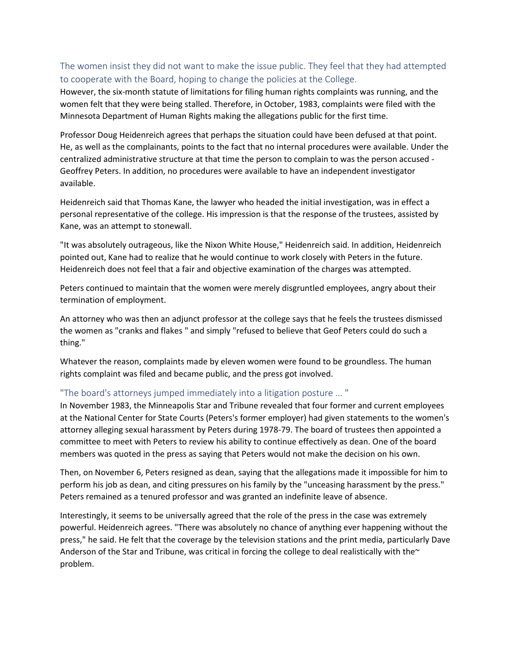## The women insist they did not want to make the issue public. They feel that they had attempted to cooperate with the Board, hoping to change the policies at the College.

However, the six-month statute of limitations for filing human rights complaints was running, and the women felt that they were being stalled. Therefore, in October, 1983, complaints were filed with the Minnesota Department of Human Rights making the allegations public for the first time.

Professor Doug Heidenreich agrees that perhaps the situation could have been defused at that point. He, as well as the complainants, points to the fact that no internal procedures were available. Under the centralized administrative structure at that time the person to complain to was the person accused - Geoffrey Peters. In addition, no procedures were available to have an independent investigator available.

Heidenreich said that Thomas Kane, the lawyer who headed the initial investigation, was in effect a personal representative of the college. His impression is that the response of the trustees, assisted by Kane, was an attempt to stonewall.

"It was absolutely outrageous, like the Nixon White House," Heidenreich said. In addition, Heidenreich pointed out, Kane had to realize that he would continue to work closely with Peters in the future. Heidenreich does not feel that a fair and objective examination of the charges was attempted.

Peters continued to maintain that the women were merely disgruntled employees, angry about their termination of employment.

An attorney who was then an adjunct professor at the college says that he feels the trustees dismissed the women as "cranks and flakes " and simply "refused to believe that Geof Peters could do such a thing."

Whatever the reason, complaints made by eleven women were found to be groundless. The human rights complaint was filed and became public, and the press got involved.

## "The board's attorneys jumped immediately into a litigation posture ... "

In November 1983, the Minneapolis Star and Tribune revealed that four former and current employees at the National Center for State Courts (Peters's former employer) had given statements to the women's attorney alleging sexual harassment by Peters during 1978-79. The board of trustees then appointed a committee to meet with Peters to review his ability to continue effectively as dean. One of the board members was quoted in the press as saying that Peters would not make the decision on his own.

Then, on November 6, Peters resigned as dean, saying that the allegations made it impossible for him to perform his job as dean, and citing pressures on his family by the "unceasing harassment by the press." Peters remained as a tenured professor and was granted an indefinite leave of absence.

Interestingly, it seems to be universally agreed that the role of the press in the case was extremely powerful. Heidenreich agrees. "There was absolutely no chance of anything ever happening without the press," he said. He felt that the coverage by the television stations and the print media, particularly Dave Anderson of the Star and Tribune, was critical in forcing the college to deal realistically with the $\sim$ problem.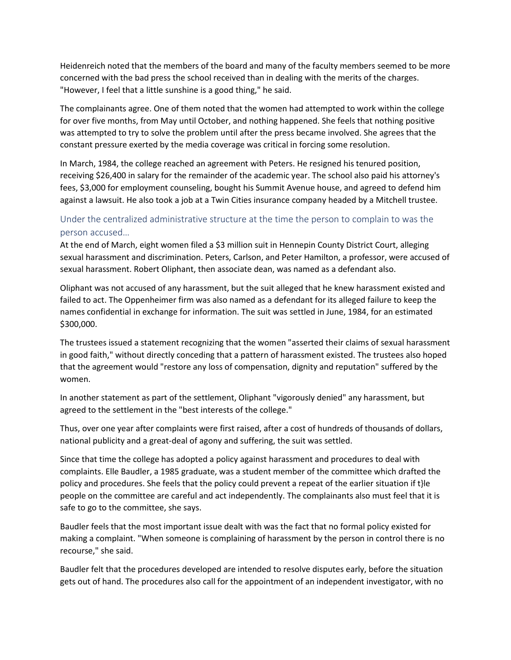Heidenreich noted that the members of the board and many of the faculty members seemed to be more concerned with the bad press the school received than in dealing with the merits of the charges. "However, I feel that a little sunshine is a good thing," he said.

The complainants agree. One of them noted that the women had attempted to work within the college for over five months, from May until October, and nothing happened. She feels that nothing positive was attempted to try to solve the problem until after the press became involved. She agrees that the constant pressure exerted by the media coverage was critical in forcing some resolution.

In March, 1984, the college reached an agreement with Peters. He resigned his tenured position, receiving \$26,400 in salary for the remainder of the academic year. The school also paid his attorney's fees, \$3,000 for employment counseling, bought his Summit Avenue house, and agreed to defend him against a lawsuit. He also took a job at a Twin Cities insurance company headed by a Mitchell trustee.

## Under the centralized administrative structure at the time the person to complain to was the person accused…

At the end of March, eight women filed a \$3 million suit in Hennepin County District Court, alleging sexual harassment and discrimination. Peters, Carlson, and Peter Hamilton, a professor, were accused of sexual harassment. Robert Oliphant, then associate dean, was named as a defendant also.

Oliphant was not accused of any harassment, but the suit alleged that he knew harassment existed and failed to act. The Oppenheimer firm was also named as a defendant for its alleged failure to keep the names confidential in exchange for information. The suit was settled in June, 1984, for an estimated \$300,000.

The trustees issued a statement recognizing that the women "asserted their claims of sexual harassment in good faith," without directly conceding that a pattern of harassment existed. The trustees also hoped that the agreement would "restore any loss of compensation, dignity and reputation" suffered by the women.

In another statement as part of the settlement, Oliphant "vigorously denied" any harassment, but agreed to the settlement in the "best interests of the college."

Thus, over one year after complaints were first raised, after a cost of hundreds of thousands of dollars, national publicity and a great-deal of agony and suffering, the suit was settled.

Since that time the college has adopted a policy against harassment and procedures to deal with complaints. Elle Baudler, a 1985 graduate, was a student member of the committee which drafted the policy and procedures. She feels that the policy could prevent a repeat of the earlier situation if t}le people on the committee are careful and act independently. The complainants also must feel that it is safe to go to the committee, she says.

Baudler feels that the most important issue dealt with was the fact that no formal policy existed for making a complaint. "When someone is complaining of harassment by the person in control there is no recourse," she said.

Baudler felt that the procedures developed are intended to resolve disputes early, before the situation gets out of hand. The procedures also call for the appointment of an independent investigator, with no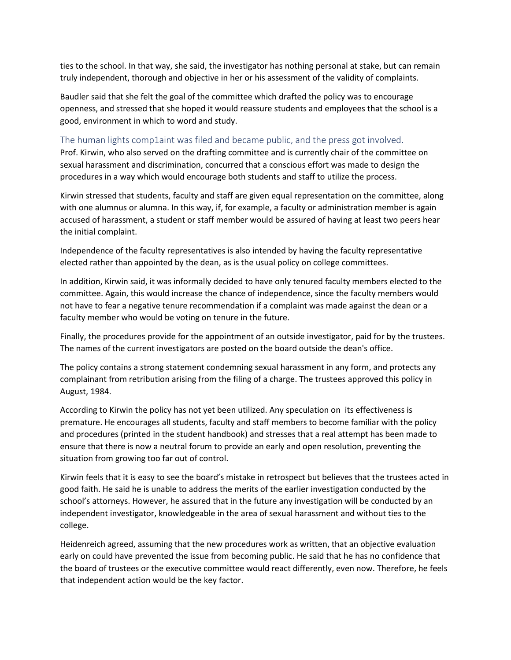ties to the school. In that way, she said, the investigator has nothing personal at stake, but can remain truly independent, thorough and objective in her or his assessment of the validity of complaints.

Baudler said that she felt the goal of the committee which drafted the policy was to encourage openness, and stressed that she hoped it would reassure students and employees that the school is a good, environment in which to word and study.

#### The human lights comp1aint was filed and became public, and the press got involved.

Prof. Kirwin, who also served on the drafting committee and is currently chair of the committee on sexual harassment and discrimination, concurred that a conscious effort was made to design the procedures in a way which would encourage both students and staff to utilize the process.

Kirwin stressed that students, faculty and staff are given equal representation on the committee, along with one alumnus or alumna. In this way, if, for example, a faculty or administration member is again accused of harassment, a student or staff member would be assured of having at least two peers hear the initial complaint.

Independence of the faculty representatives is also intended by having the faculty representative elected rather than appointed by the dean, as is the usual policy on college committees.

In addition, Kirwin said, it was informally decided to have only tenured faculty members elected to the committee. Again, this would increase the chance of independence, since the faculty members would not have to fear a negative tenure recommendation if a complaint was made against the dean or a faculty member who would be voting on tenure in the future.

Finally, the procedures provide for the appointment of an outside investigator, paid for by the trustees. The names of the current investigators are posted on the board outside the dean's office.

The policy contains a strong statement condemning sexual harassment in any form, and protects any complainant from retribution arising from the filing of a charge. The trustees approved this policy in August, 1984.

According to Kirwin the policy has not yet been utilized. Any speculation on its effectiveness is premature. He encourages all students, faculty and staff members to become familiar with the policy and procedures (printed in the student handbook) and stresses that a real attempt has been made to ensure that there is now a neutral forum to provide an early and open resolution, preventing the situation from growing too far out of control.

Kirwin feels that it is easy to see the board's mistake in retrospect but believes that the trustees acted in good faith. He said he is unable to address the merits of the earlier investigation conducted by the school's attorneys. However, he assured that in the future any investigation will be conducted by an independent investigator, knowledgeable in the area of sexual harassment and without ties to the college.

Heidenreich agreed, assuming that the new procedures work as written, that an objective evaluation early on could have prevented the issue from becoming public. He said that he has no confidence that the board of trustees or the executive committee would react differently, even now. Therefore, he feels that independent action would be the key factor.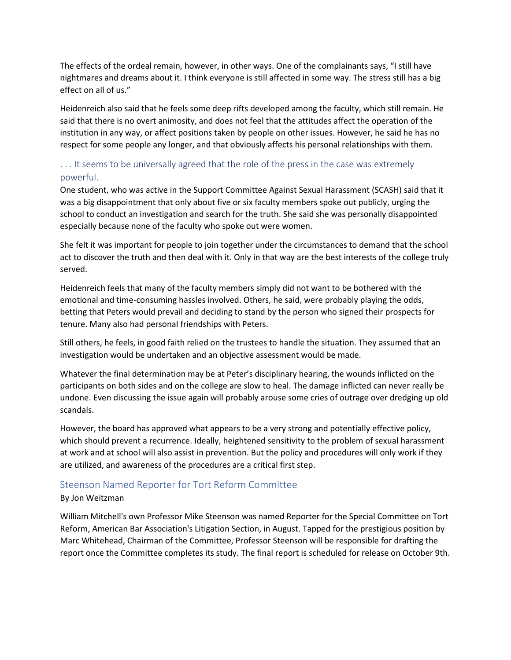The effects of the ordeal remain, however, in other ways. One of the complainants says, "I still have nightmares and dreams about it. I think everyone is still affected in some way. The stress still has a big effect on all of us."

Heidenreich also said that he feels some deep rifts developed among the faculty, which still remain. He said that there is no overt animosity, and does not feel that the attitudes affect the operation of the institution in any way, or affect positions taken by people on other issues. However, he said he has no respect for some people any longer, and that obviously affects his personal relationships with them.

## ... It seems to be universally agreed that the role of the press in the case was extremely powerful.

One student, who was active in the Support Committee Against Sexual Harassment (SCASH) said that it was a big disappointment that only about five or six faculty members spoke out publicly, urging the school to conduct an investigation and search for the truth. She said she was personally disappointed especially because none of the faculty who spoke out were women.

She felt it was important for people to join together under the circumstances to demand that the school act to discover the truth and then deal with it. Only in that way are the best interests of the college truly served.

Heidenreich feels that many of the faculty members simply did not want to be bothered with the emotional and time-consuming hassles involved. Others, he said, were probably playing the odds, betting that Peters would prevail and deciding to stand by the person who signed their prospects for tenure. Many also had personal friendships with Peters.

Still others, he feels, in good faith relied on the trustees to handle the situation. They assumed that an investigation would be undertaken and an objective assessment would be made.

Whatever the final determination may be at Peter's disciplinary hearing, the wounds inflicted on the participants on both sides and on the college are slow to heal. The damage inflicted can never really be undone. Even discussing the issue again will probably arouse some cries of outrage over dredging up old scandals.

However, the board has approved what appears to be a very strong and potentially effective policy, which should prevent a recurrence. Ideally, heightened sensitivity to the problem of sexual harassment at work and at school will also assist in prevention. But the policy and procedures will only work if they are utilized, and awareness of the procedures are a critical first step.

## Steenson Named Reporter for Tort Reform Committee

## By Jon Weitzman

William Mitchell's own Professor Mike Steenson was named Reporter for the Special Committee on Tort Reform, American Bar Association's Litigation Section, in August. Tapped for the prestigious position by Marc Whitehead, Chairman of the Committee, Professor Steenson will be responsible for drafting the report once the Committee completes its study. The final report is scheduled for release on October 9th.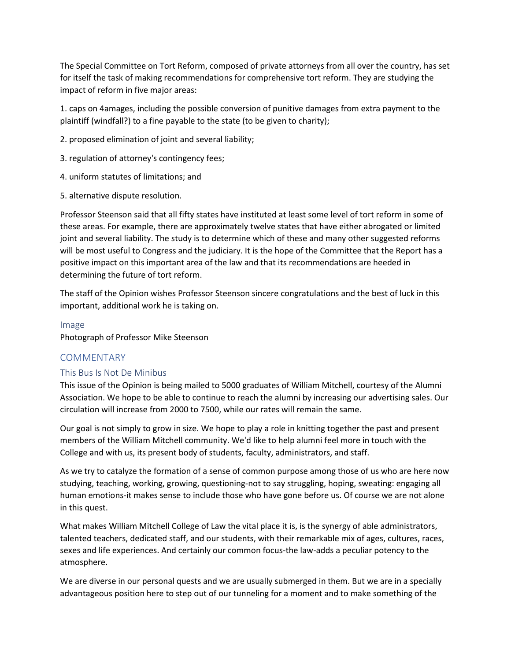The Special Committee on Tort Reform, composed of private attorneys from all over the country, has set for itself the task of making recommendations for comprehensive tort reform. They are studying the impact of reform in five major areas:

1. caps on 4amages, including the possible conversion of punitive damages from extra payment to the plaintiff (windfall?) to a fine payable to the state (to be given to charity);

2. proposed elimination of joint and several liability;

3. regulation of attorney's contingency fees;

- 4. uniform statutes of limitations; and
- 5. alternative dispute resolution.

Professor Steenson said that all fifty states have instituted at least some level of tort reform in some of these areas. For example, there are approximately twelve states that have either abrogated or limited joint and several liability. The study is to determine which of these and many other suggested reforms will be most useful to Congress and the judiciary. It is the hope of the Committee that the Report has a positive impact on this important area of the law and that its recommendations are heeded in determining the future of tort reform.

The staff of the Opinion wishes Professor Steenson sincere congratulations and the best of luck in this important, additional work he is taking on.

#### Image

Photograph of Professor Mike Steenson

## **COMMENTARY**

## This Bus Is Not De Minibus

This issue of the Opinion is being mailed to 5000 graduates of William Mitchell, courtesy of the Alumni Association. We hope to be able to continue to reach the alumni by increasing our advertising sales. Our circulation will increase from 2000 to 7500, while our rates will remain the same.

Our goal is not simply to grow in size. We hope to play a role in knitting together the past and present members of the William Mitchell community. We'd like to help alumni feel more in touch with the College and with us, its present body of students, faculty, administrators, and staff.

As we try to catalyze the formation of a sense of common purpose among those of us who are here now studying, teaching, working, growing, questioning-not to say struggling, hoping, sweating: engaging all human emotions-it makes sense to include those who have gone before us. Of course we are not alone in this quest.

What makes William Mitchell College of Law the vital place it is, is the synergy of able administrators, talented teachers, dedicated staff, and our students, with their remarkable mix of ages, cultures, races, sexes and life experiences. And certainly our common focus-the law-adds a peculiar potency to the atmosphere.

We are diverse in our personal quests and we are usually submerged in them. But we are in a specially advantageous position here to step out of our tunneling for a moment and to make something of the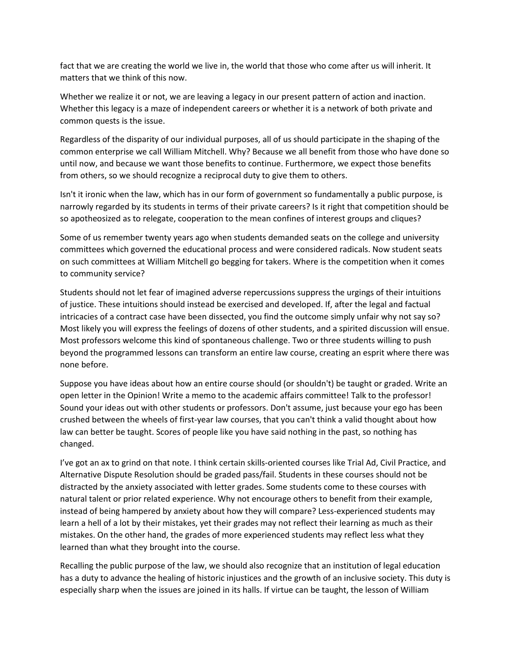fact that we are creating the world we live in, the world that those who come after us will inherit. It matters that we think of this now.

Whether we realize it or not, we are leaving a legacy in our present pattern of action and inaction. Whether this legacy is a maze of independent careers or whether it is a network of both private and common quests is the issue.

Regardless of the disparity of our individual purposes, all of us should participate in the shaping of the common enterprise we call William Mitchell. Why? Because we all benefit from those who have done so until now, and because we want those benefits to continue. Furthermore, we expect those benefits from others, so we should recognize a reciprocal duty to give them to others.

Isn't it ironic when the law, which has in our form of government so fundamentally a public purpose, is narrowly regarded by its students in terms of their private careers? Is it right that competition should be so apotheosized as to relegate, cooperation to the mean confines of interest groups and cliques?

Some of us remember twenty years ago when students demanded seats on the college and university committees which governed the educational process and were considered radicals. Now student seats on such committees at William Mitchell go begging for takers. Where is the competition when it comes to community service?

Students should not let fear of imagined adverse repercussions suppress the urgings of their intuitions of justice. These intuitions should instead be exercised and developed. If, after the legal and factual intricacies of a contract case have been dissected, you find the outcome simply unfair why not say so? Most likely you will express the feelings of dozens of other students, and a spirited discussion will ensue. Most professors welcome this kind of spontaneous challenge. Two or three students willing to push beyond the programmed lessons can transform an entire law course, creating an esprit where there was none before.

Suppose you have ideas about how an entire course should (or shouldn't) be taught or graded. Write an open letter in the Opinion! Write a memo to the academic affairs committee! Talk to the professor! Sound your ideas out with other students or professors. Don't assume, just because your ego has been crushed between the wheels of first-year law courses, that you can't think a valid thought about how law can better be taught. Scores of people like you have said nothing in the past, so nothing has changed.

I've got an ax to grind on that note. I think certain skills-oriented courses like Trial Ad, Civil Practice, and Alternative Dispute Resolution should be graded pass/fail. Students in these courses should not be distracted by the anxiety associated with letter grades. Some students come to these courses with natural talent or prior related experience. Why not encourage others to benefit from their example, instead of being hampered by anxiety about how they will compare? Less-experienced students may learn a hell of a lot by their mistakes, yet their grades may not reflect their learning as much as their mistakes. On the other hand, the grades of more experienced students may reflect less what they learned than what they brought into the course.

Recalling the public purpose of the law, we should also recognize that an institution of legal education has a duty to advance the healing of historic injustices and the growth of an inclusive society. This duty is especially sharp when the issues are joined in its halls. If virtue can be taught, the lesson of William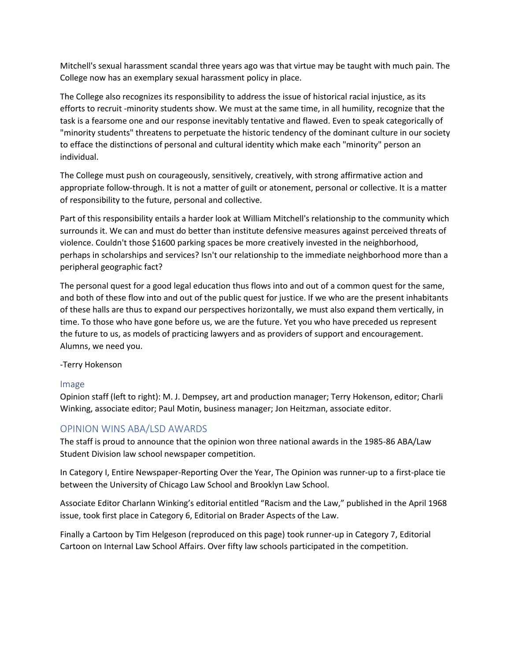Mitchell's sexual harassment scandal three years ago was that virtue may be taught with much pain. The College now has an exemplary sexual harassment policy in place.

The College also recognizes its responsibility to address the issue of historical racial injustice, as its efforts to recruit -minority students show. We must at the same time, in all humility, recognize that the task is a fearsome one and our response inevitably tentative and flawed. Even to speak categorically of "minority students" threatens to perpetuate the historic tendency of the dominant culture in our society to efface the distinctions of personal and cultural identity which make each "minority" person an individual.

The College must push on courageously, sensitively, creatively, with strong affirmative action and appropriate follow-through. It is not a matter of guilt or atonement, personal or collective. It is a matter of responsibility to the future, personal and collective.

Part of this responsibility entails a harder look at William Mitchell's relationship to the community which surrounds it. We can and must do better than institute defensive measures against perceived threats of violence. Couldn't those \$1600 parking spaces be more creatively invested in the neighborhood, perhaps in scholarships and services? Isn't our relationship to the immediate neighborhood more than a peripheral geographic fact?

The personal quest for a good legal education thus flows into and out of a common quest for the same, and both of these flow into and out of the public quest for justice. If we who are the present inhabitants of these halls are thus to expand our perspectives horizontally, we must also expand them vertically, in time. To those who have gone before us, we are the future. Yet you who have preceded us represent the future to us, as models of practicing lawyers and as providers of support and encouragement. Alumns, we need you.

-Terry Hokenson

## Image

Opinion staff (left to right): M. J. Dempsey, art and production manager; Terry Hokenson, editor; Charli Winking, associate editor; Paul Motin, business manager; Jon Heitzman, associate editor.

## OPINION WINS ABA/LSD AWARDS

The staff is proud to announce that the opinion won three national awards in the 1985-86 ABA/Law Student Division law school newspaper competition.

In Category I, Entire Newspaper-Reporting Over the Year, The Opinion was runner-up to a first-place tie between the University of Chicago Law School and Brooklyn Law School.

Associate Editor Charlann Winking's editorial entitled "Racism and the Law," published in the April 1968 issue, took first place in Category 6, Editorial on Brader Aspects of the Law.

Finally a Cartoon by Tim Helgeson (reproduced on this page) took runner-up in Category 7, Editorial Cartoon on Internal Law School Affairs. Over fifty law schools participated in the competition.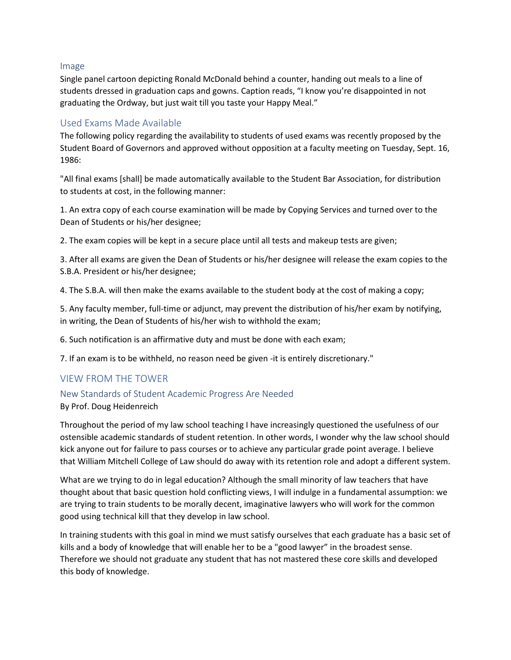#### Image

Single panel cartoon depicting Ronald McDonald behind a counter, handing out meals to a line of students dressed in graduation caps and gowns. Caption reads, "I know you're disappointed in not graduating the Ordway, but just wait till you taste your Happy Meal."

## Used Exams Made Available

The following policy regarding the availability to students of used exams was recently proposed by the Student Board of Governors and approved without opposition at a faculty meeting on Tuesday, Sept. 16, 1986:

"All final exams [shall] be made automatically available to the Student Bar Association, for distribution to students at cost, in the following manner:

1. An extra copy of each course examination will be made by Copying Services and turned over to the Dean of Students or his/her designee;

2. The exam copies will be kept in a secure place until all tests and makeup tests are given;

3. After all exams are given the Dean of Students or his/her designee will release the exam copies to the S.B.A. President or his/her designee;

4. The S.B.A. will then make the exams available to the student body at the cost of making a copy;

5. Any faculty member, full-time or adjunct, may prevent the distribution of his/her exam by notifying, in writing, the Dean of Students of his/her wish to withhold the exam;

6. Such notification is an affirmative duty and must be done with each exam;

7. If an exam is to be withheld, no reason need be given -it is entirely discretionary."

## VIEW FROM THE TOWER

#### New Standards of Student Academic Progress Are Needed

By Prof. Doug Heidenreich

Throughout the period of my law school teaching I have increasingly questioned the usefulness of our ostensible academic standards of student retention. In other words, I wonder why the law school should kick anyone out for failure to pass courses or to achieve any particular grade point average. I believe that William Mitchell College of Law should do away with its retention role and adopt a different system.

What are we trying to do in legal education? Although the small minority of law teachers that have thought about that basic question hold conflicting views, I will indulge in a fundamental assumption: we are trying to train students to be morally decent, imaginative lawyers who will work for the common good using technical kill that they develop in law school.

In training students with this goal in mind we must satisfy ourselves that each graduate has a basic set of kills and a body of knowledge that will enable her to be a "good lawyer" in the broadest sense. Therefore we should not graduate any student that has not mastered these core skills and developed this body of knowledge.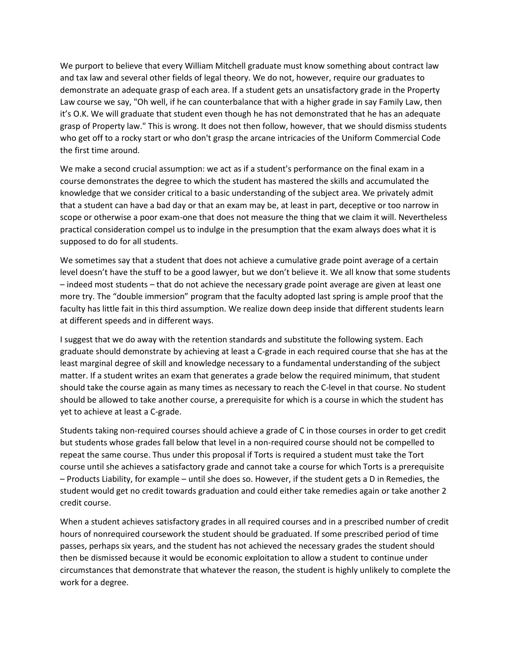We purport to believe that every William Mitchell graduate must know something about contract law and tax law and several other fields of legal theory. We do not, however, require our graduates to demonstrate an adequate grasp of each area. If a student gets an unsatisfactory grade in the Property Law course we say, "Oh well, if he can counterbalance that with a higher grade in say Family Law, then it's O.K. We will graduate that student even though he has not demonstrated that he has an adequate grasp of Property law." This is wrong. It does not then follow, however, that we should dismiss students who get off to a rocky start or who don't grasp the arcane intricacies of the Uniform Commercial Code the first time around.

We make a second crucial assumption: we act as if a student's performance on the final exam in a course demonstrates the degree to which the student has mastered the skills and accumulated the knowledge that we consider critical to a basic understanding of the subject area. We privately admit that a student can have a bad day or that an exam may be, at least in part, deceptive or too narrow in scope or otherwise a poor exam-one that does not measure the thing that we claim it will. Nevertheless practical consideration compel us to indulge in the presumption that the exam always does what it is supposed to do for all students.

We sometimes say that a student that does not achieve a cumulative grade point average of a certain level doesn't have the stuff to be a good lawyer, but we don't believe it. We all know that some students – indeed most students – that do not achieve the necessary grade point average are given at least one more try. The "double immersion" program that the faculty adopted last spring is ample proof that the faculty has little fait in this third assumption. We realize down deep inside that different students learn at different speeds and in different ways.

I suggest that we do away with the retention standards and substitute the following system. Each graduate should demonstrate by achieving at least a C-grade in each required course that she has at the least marginal degree of skill and knowledge necessary to a fundamental understanding of the subject matter. If a student writes an exam that generates a grade below the required minimum, that student should take the course again as many times as necessary to reach the C-level in that course. No student should be allowed to take another course, a prerequisite for which is a course in which the student has yet to achieve at least a C-grade.

Students taking non-required courses should achieve a grade of C in those courses in order to get credit but students whose grades fall below that level in a non-required course should not be compelled to repeat the same course. Thus under this proposal if Torts is required a student must take the Tort course until she achieves a satisfactory grade and cannot take a course for which Torts is a prerequisite – Products Liability, for example – until she does so. However, if the student gets a D in Remedies, the student would get no credit towards graduation and could either take remedies again or take another 2 credit course.

When a student achieves satisfactory grades in all required courses and in a prescribed number of credit hours of nonrequired coursework the student should be graduated. If some prescribed period of time passes, perhaps six years, and the student has not achieved the necessary grades the student should then be dismissed because it would be economic exploitation to allow a student to continue under circumstances that demonstrate that whatever the reason, the student is highly unlikely to complete the work for a degree.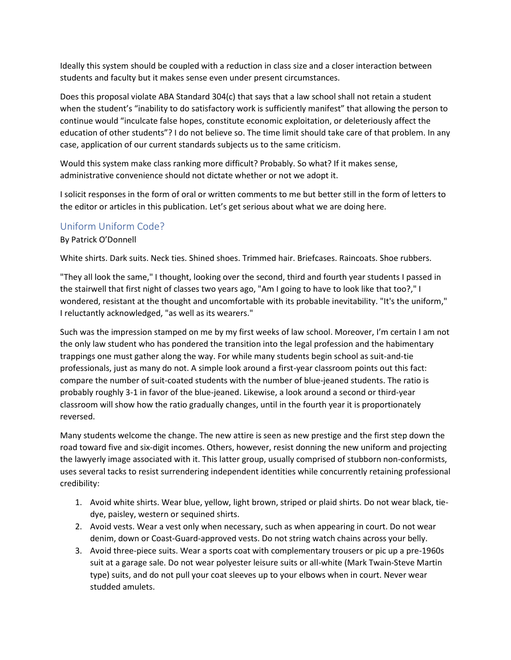Ideally this system should be coupled with a reduction in class size and a closer interaction between students and faculty but it makes sense even under present circumstances.

Does this proposal violate ABA Standard 304(c) that says that a law school shall not retain a student when the student's "inability to do satisfactory work is sufficiently manifest" that allowing the person to continue would "inculcate false hopes, constitute economic exploitation, or deleteriously affect the education of other students"? I do not believe so. The time limit should take care of that problem. In any case, application of our current standards subjects us to the same criticism.

Would this system make class ranking more difficult? Probably. So what? If it makes sense, administrative convenience should not dictate whether or not we adopt it.

I solicit responses in the form of oral or written comments to me but better still in the form of letters to the editor or articles in this publication. Let's get serious about what we are doing here.

## Uniform Uniform Code?

#### By Patrick O'Donnell

White shirts. Dark suits. Neck ties. Shined shoes. Trimmed hair. Briefcases. Raincoats. Shoe rubbers.

"They all look the same," I thought, looking over the second, third and fourth year students I passed in the stairwell that first night of classes two years ago, "Am I going to have to look like that too?," I wondered, resistant at the thought and uncomfortable with its probable inevitability. "It's the uniform," I reluctantly acknowledged, "as well as its wearers."

Such was the impression stamped on me by my first weeks of law school. Moreover, I'm certain I am not the only law student who has pondered the transition into the legal profession and the habimentary trappings one must gather along the way. For while many students begin school as suit-and-tie professionals, just as many do not. A simple look around a first-year classroom points out this fact: compare the number of suit-coated students with the number of blue-jeaned students. The ratio is probably roughly 3-1 in favor of the blue-jeaned. Likewise, a look around a second or third-year classroom will show how the ratio gradually changes, until in the fourth year it is proportionately reversed.

Many students welcome the change. The new attire is seen as new prestige and the first step down the road toward five and six-digit incomes. Others, however, resist donning the new uniform and projecting the lawyerly image associated with it. This latter group, usually comprised of stubborn non-conformists, uses several tacks to resist surrendering independent identities while concurrently retaining professional credibility:

- 1. Avoid white shirts. Wear blue, yellow, light brown, striped or plaid shirts. Do not wear black, tiedye, paisley, western or sequined shirts.
- 2. Avoid vests. Wear a vest only when necessary, such as when appearing in court. Do not wear denim, down or Coast-Guard-approved vests. Do not string watch chains across your belly.
- 3. Avoid three-piece suits. Wear a sports coat with complementary trousers or pic up a pre-1960s suit at a garage sale. Do not wear polyester leisure suits or all-white (Mark Twain-Steve Martin type) suits, and do not pull your coat sleeves up to your elbows when in court. Never wear studded amulets.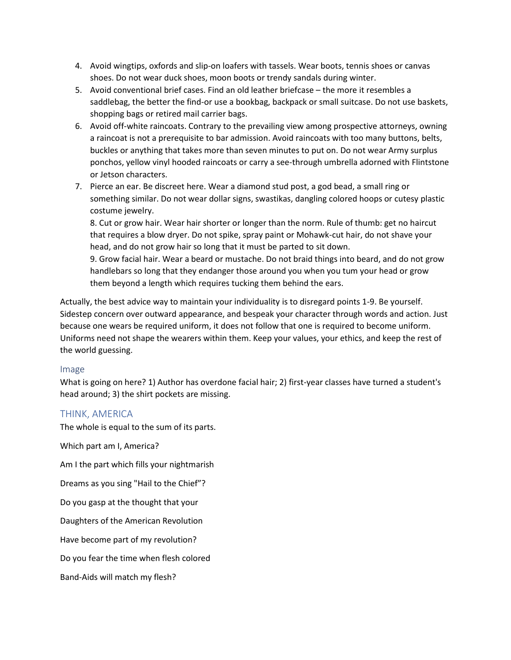- 4. Avoid wingtips, oxfords and slip-on loafers with tassels. Wear boots, tennis shoes or canvas shoes. Do not wear duck shoes, moon boots or trendy sandals during winter.
- 5. Avoid conventional brief cases. Find an old leather briefcase the more it resembles a saddlebag, the better the find-or use a bookbag, backpack or small suitcase. Do not use baskets, shopping bags or retired mail carrier bags.
- 6. Avoid off-white raincoats. Contrary to the prevailing view among prospective attorneys, owning a raincoat is not a prerequisite to bar admission. Avoid raincoats with too many buttons, belts, buckles or anything that takes more than seven minutes to put on. Do not wear Army surplus ponchos, yellow vinyl hooded raincoats or carry a see-through umbrella adorned with Flintstone or Jetson characters.
- 7. Pierce an ear. Be discreet here. Wear a diamond stud post, a god bead, a small ring or something similar. Do not wear dollar signs, swastikas, dangling colored hoops or cutesy plastic costume jewelry.

8. Cut or grow hair. Wear hair shorter or longer than the norm. Rule of thumb: get no haircut that requires a blow dryer. Do not spike, spray paint or Mohawk-cut hair, do not shave your head, and do not grow hair so long that it must be parted to sit down.

9. Grow facial hair. Wear a beard or mustache. Do not braid things into beard, and do not grow handlebars so long that they endanger those around you when you tum your head or grow them beyond a length which requires tucking them behind the ears.

Actually, the best advice way to maintain your individuality is to disregard points 1-9. Be yourself. Sidestep concern over outward appearance, and bespeak your character through words and action. Just because one wears be required uniform, it does not follow that one is required to become uniform. Uniforms need not shape the wearers within them. Keep your values, your ethics, and keep the rest of the world guessing.

#### Image

What is going on here? 1) Author has overdone facial hair; 2) first-year classes have turned a student's head around; 3) the shirt pockets are missing.

## THINK, AMERICA

The whole is equal to the sum of its parts.

Which part am I, America?

Am I the part which fills your nightmarish

Dreams as you sing "Hail to the Chief"?

Do you gasp at the thought that your

Daughters of the American Revolution

Have become part of my revolution?

Do you fear the time when flesh colored

Band-Aids will match my flesh?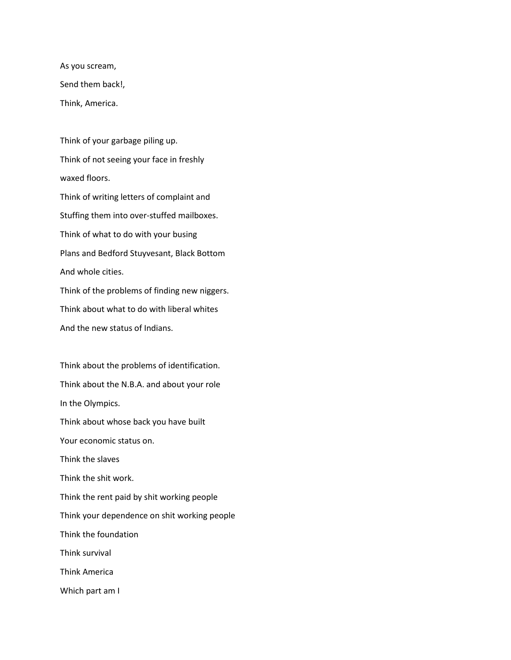As you scream, Send them back!, Think, America.

Think of your garbage piling up. Think of not seeing your face in freshly waxed floors. Think of writing letters of complaint and Stuffing them into over-stuffed mailboxes. Think of what to do with your busing Plans and Bedford Stuyvesant, Black Bottom And whole cities. Think of the problems of finding new niggers.

Think about what to do with liberal whites And the new status of Indians.

Think about the problems of identification. Think about the N.B.A. and about your role In the Olympics. Think about whose back you have built Your economic status on. Think the slaves Think the shit work. Think the rent paid by shit working people Think your dependence on shit working people Think the foundation Think survival Think America Which part am I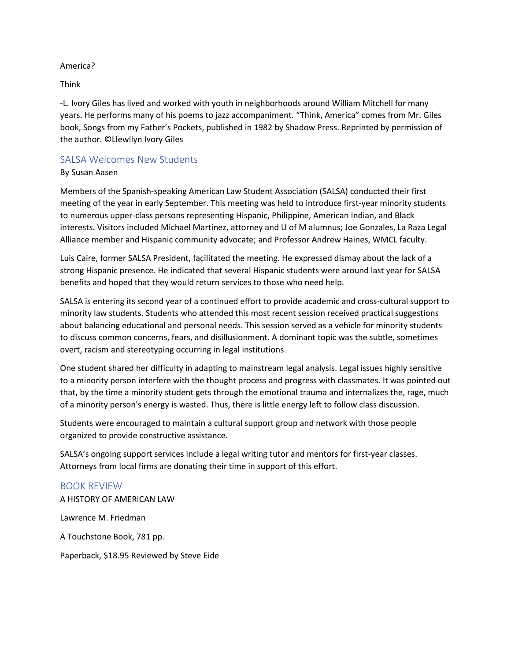#### America?

Think

-L. Ivory Giles has lived and worked with youth in neighborhoods around William Mitchell for many years. He performs many of his poems to jazz accompaniment. "Think, America" comes from Mr. Giles book, Songs from my Father's Pockets, published in 1982 by Shadow Press. Reprinted by permission of the author. ©Llewllyn Ivory Giles

## SALSA Welcomes New Students

#### By Susan Aasen

Members of the Spanish-speaking American Law Student Association (SALSA) conducted their first meeting of the year in early September. This meeting was held to introduce first-year minority students to numerous upper-class persons representing Hispanic, Philippine, American Indian, and Black interests. Visitors included Michael Martinez, attorney and U of M alumnus; Joe Gonzales, La Raza Legal Alliance member and Hispanic community advocate; and Professor Andrew Haines, WMCL faculty.

Luis Caire, former SALSA President, facilitated the meeting. He expressed dismay about the lack of a strong Hispanic presence. He indicated that several Hispanic students were around last year for SALSA benefits and hoped that they would return services to those who need help.

SALSA is entering its second year of a continued effort to provide academic and cross-cultural support to minority law students. Students who attended this most recent session received practical suggestions about balancing educational and personal needs. This session served as a vehicle for minority students to discuss common concerns, fears, and disillusionment. A dominant topic was the subtle, sometimes overt, racism and stereotyping occurring in legal institutions.

One student shared her difficulty in adapting to mainstream legal analysis. Legal issues highly sensitive to a minority person interfere with the thought process and progress with classmates. It was pointed out that, by the time a minority student gets through the emotional trauma and internalizes the, rage, much of a minority person's energy is wasted. Thus, there is little energy left to follow class discussion.

Students were encouraged to maintain a cultural support group and network with those people organized to provide constructive assistance.

SALSA's ongoing support services include a legal writing tutor and mentors for first-year classes. Attorneys from local firms are donating their time in support of this effort.

## BOOK REVIEW

A HISTORY OF AMERICAN LAW

Lawrence M. Friedman

A Touchstone Book, 781 pp.

Paperback, \$18.95 Reviewed by Steve Eide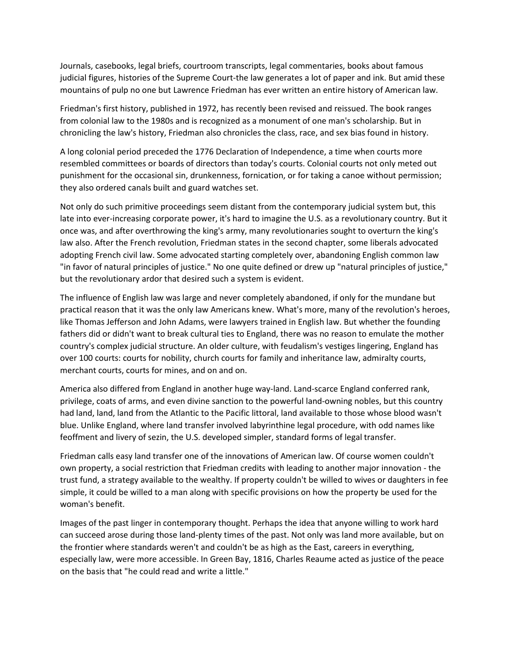Journals, casebooks, legal briefs, courtroom transcripts, legal commentaries, books about famous judicial figures, histories of the Supreme Court-the law generates a lot of paper and ink. But amid these mountains of pulp no one but Lawrence Friedman has ever written an entire history of American law.

Friedman's first history, published in 1972, has recently been revised and reissued. The book ranges from colonial law to the 1980s and is recognized as a monument of one man's scholarship. But in chronicling the law's history, Friedman also chronicles the class, race, and sex bias found in history.

A long colonial period preceded the 1776 Declaration of Independence, a time when courts more resembled committees or boards of directors than today's courts. Colonial courts not only meted out punishment for the occasional sin, drunkenness, fornication, or for taking a canoe without permission; they also ordered canals built and guard watches set.

Not only do such primitive proceedings seem distant from the contemporary judicial system but, this late into ever-increasing corporate power, it's hard to imagine the U.S. as a revolutionary country. But it once was, and after overthrowing the king's army, many revolutionaries sought to overturn the king's law also. After the French revolution, Friedman states in the second chapter, some liberals advocated adopting French civil law. Some advocated starting completely over, abandoning English common law "in favor of natural principles of justice." No one quite defined or drew up "natural principles of justice," but the revolutionary ardor that desired such a system is evident.

The influence of English law was large and never completely abandoned, if only for the mundane but practical reason that it was the only law Americans knew. What's more, many of the revolution's heroes, like Thomas Jefferson and John Adams, were lawyers trained in English law. But whether the founding fathers did or didn't want to break cultural ties to England, there was no reason to emulate the mother country's complex judicial structure. An older culture, with feudalism's vestiges lingering, England has over 100 courts: courts for nobility, church courts for family and inheritance law, admiralty courts, merchant courts, courts for mines, and on and on.

America also differed from England in another huge way-land. Land-scarce England conferred rank, privilege, coats of arms, and even divine sanction to the powerful land-owning nobles, but this country had land, land, land from the Atlantic to the Pacific littoral, land available to those whose blood wasn't blue. Unlike England, where land transfer involved labyrinthine legal procedure, with odd names like feoffment and livery of sezin, the U.S. developed simpler, standard forms of legal transfer.

Friedman calls easy land transfer one of the innovations of American law. Of course women couldn't own property, a social restriction that Friedman credits with leading to another major innovation - the trust fund, a strategy available to the wealthy. If property couldn't be willed to wives or daughters in fee simple, it could be willed to a man along with specific provisions on how the property be used for the woman's benefit.

Images of the past linger in contemporary thought. Perhaps the idea that anyone willing to work hard can succeed arose during those land-plenty times of the past. Not only was land more available, but on the frontier where standards weren't and couldn't be as high as the East, careers in everything, especially law, were more accessible. In Green Bay, 1816, Charles Reaume acted as justice of the peace on the basis that "he could read and write a little."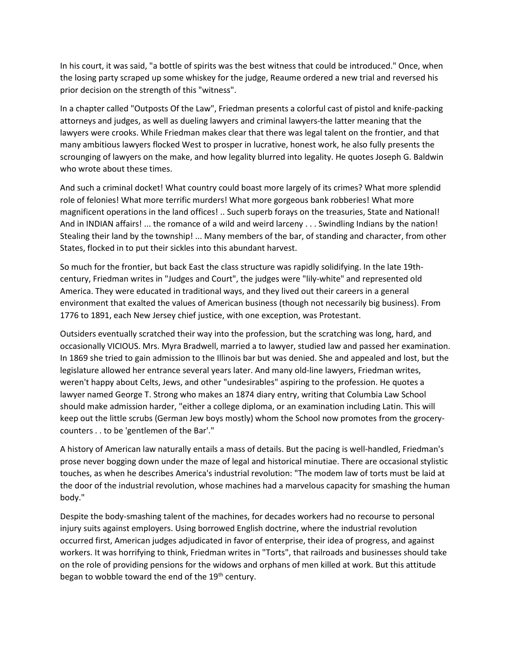In his court, it was said, "a bottle of spirits was the best witness that could be introduced." Once, when the losing party scraped up some whiskey for the judge, Reaume ordered a new trial and reversed his prior decision on the strength of this "witness".

In a chapter called "Outposts Of the Law", Friedman presents a colorful cast of pistol and knife-packing attorneys and judges, as well as dueling lawyers and criminal lawyers-the latter meaning that the lawyers were crooks. While Friedman makes clear that there was legal talent on the frontier, and that many ambitious lawyers flocked West to prosper in lucrative, honest work, he also fully presents the scrounging of lawyers on the make, and how legality blurred into legality. He quotes Joseph G. Baldwin who wrote about these times.

And such a criminal docket! What country could boast more largely of its crimes? What more splendid role of felonies! What more terrific murders! What more gorgeous bank robberies! What more magnificent operations in the land offices! .. Such superb forays on the treasuries, State and National! And in INDIAN affairs! ... the romance of a wild and weird larceny . . . Swindling Indians by the nation! Stealing their land by the township! ... Many members of the bar, of standing and character, from other States, flocked in to put their sickles into this abundant harvest.

So much for the frontier, but back East the class structure was rapidly solidifying. In the late 19thcentury, Friedman writes in "Judges and Court", the judges were "lily-white" and represented old America. They were educated in traditional ways, and they lived out their careers in a general environment that exalted the values of American business (though not necessarily big business). From 1776 to 1891, each New Jersey chief justice, with one exception, was Protestant.

Outsiders eventually scratched their way into the profession, but the scratching was long, hard, and occasionally VICIOUS. Mrs. Myra Bradwell, married a to lawyer, studied law and passed her examination. In 1869 she tried to gain admission to the Illinois bar but was denied. She and appealed and lost, but the legislature allowed her entrance several years later. And many old-line lawyers, Friedman writes, weren't happy about Celts, Jews, and other "undesirables" aspiring to the profession. He quotes a lawyer named George T. Strong who makes an 1874 diary entry, writing that Columbia Law School should make admission harder, "either a college diploma, or an examination including Latin. This will keep out the little scrubs (German Jew boys mostly) whom the School now promotes from the grocerycounters . . to be 'gentlemen of the Bar'."

A history of American law naturally entails a mass of details. But the pacing is well-handled, Friedman's prose never bogging down under the maze of legal and historical minutiae. There are occasional stylistic touches, as when he describes America's industrial revolution: "The modem law of torts must be laid at the door of the industrial revolution, whose machines had a marvelous capacity for smashing the human body."

Despite the body-smashing talent of the machines, for decades workers had no recourse to personal injury suits against employers. Using borrowed English doctrine, where the industrial revolution occurred first, American judges adjudicated in favor of enterprise, their idea of progress, and against workers. It was horrifying to think, Friedman writes in "Torts", that railroads and businesses should take on the role of providing pensions for the widows and orphans of men killed at work. But this attitude began to wobble toward the end of the  $19<sup>th</sup>$  century.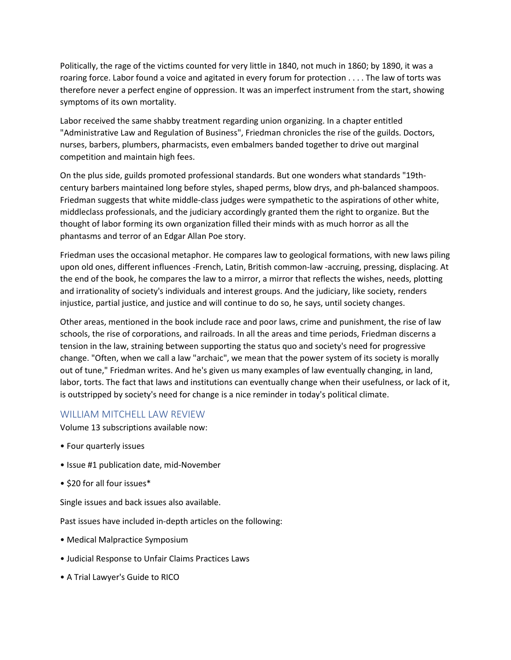Politically, the rage of the victims counted for very little in 1840, not much in 1860; by 1890, it was a roaring force. Labor found a voice and agitated in every forum for protection . . . . The law of torts was therefore never a perfect engine of oppression. It was an imperfect instrument from the start, showing symptoms of its own mortality.

Labor received the same shabby treatment regarding union organizing. In a chapter entitled "Administrative Law and Regulation of Business", Friedman chronicles the rise of the guilds. Doctors, nurses, barbers, plumbers, pharmacists, even embalmers banded together to drive out marginal competition and maintain high fees.

On the plus side, guilds promoted professional standards. But one wonders what standards "19thcentury barbers maintained long before styles, shaped perms, blow drys, and ph-balanced shampoos. Friedman suggests that white middle-class judges were sympathetic to the aspirations of other white, middleclass professionals, and the judiciary accordingly granted them the right to organize. But the thought of labor forming its own organization filled their minds with as much horror as all the phantasms and terror of an Edgar Allan Poe story.

Friedman uses the occasional metaphor. He compares law to geological formations, with new laws piling upon old ones, different influences -French, Latin, British common-law -accruing, pressing, displacing. At the end of the book, he compares the law to a mirror, a mirror that reflects the wishes, needs, plotting and irrationality of society's individuals and interest groups. And the judiciary, like society, renders injustice, partial justice, and justice and will continue to do so, he says, until society changes.

Other areas, mentioned in the book include race and poor laws, crime and punishment, the rise of law schools, the rise of corporations, and railroads. In all the areas and time periods, Friedman discerns a tension in the law, straining between supporting the status quo and society's need for progressive change. "Often, when we call a law "archaic", we mean that the power system of its society is morally out of tune," Friedman writes. And he's given us many examples of law eventually changing, in land, labor, torts. The fact that laws and institutions can eventually change when their usefulness, or lack of it, is outstripped by society's need for change is a nice reminder in today's political climate.

## WILLIAM MITCHELL LAW REVIEW

Volume 13 subscriptions available now:

- Four quarterly issues
- Issue #1 publication date, mid-November
- \$20 for all four issues\*

Single issues and back issues also available.

Past issues have included in-depth articles on the following:

- Medical Malpractice Symposium
- Judicial Response to Unfair Claims Practices Laws
- A Trial Lawyer's Guide to RICO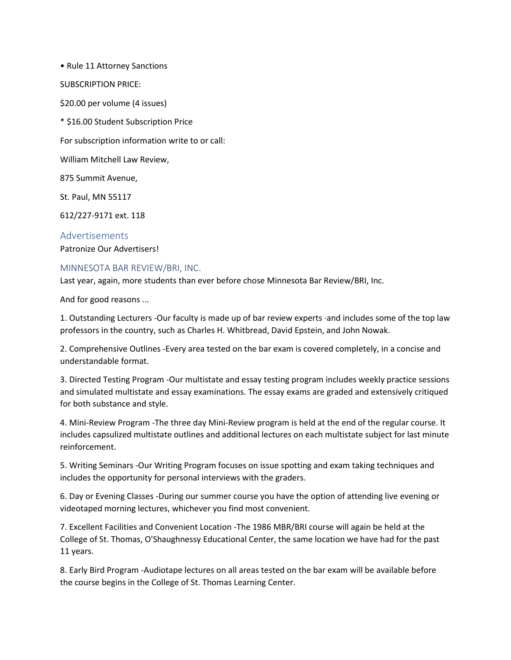• Rule 11 Attorney Sanctions SUBSCRIPTION PRICE: \$20.00 per volume (4 issues) \* \$16.00 Student Subscription Price For subscription information write to or call: William Mitchell Law Review, 875 Summit Avenue, St. Paul, MN 55117 612/227-9171 ext. 118

Advertisements Patronize Our Advertisers!

#### MINNESOTA BAR REVIEW/BRI, INC.

Last year, again, more students than ever before chose Minnesota Bar Review/BRI, Inc.

And for good reasons ...

1. Outstanding Lecturers -Our faculty is made up of bar review experts ·and includes some of the top law professors in the country, such as Charles H. Whitbread, David Epstein, and John Nowak.

2. Comprehensive Outlines -Every area tested on the bar exam is covered completely, in a concise and understandable format.

3. Directed Testing Program -Our multistate and essay testing program includes weekly practice sessions and simulated multistate and essay examinations. The essay exams are graded and extensively critiqued for both substance and style.

4. Mini-Review Program -The three day Mini-Review program is held at the end of the regular course. It includes capsulized multistate outlines and additional lectures on each multistate subject for last minute reinforcement.

5. Writing Seminars -Our Writing Program focuses on issue spotting and exam taking techniques and includes the opportunity for personal interviews with the graders.

6. Day or Evening Classes -During our summer course you have the option of attending live evening or videotaped morning lectures, whichever you find most convenient.

7. Excellent Facilities and Convenient Location -The 1986 MBR/BRI course will again be held at the College of St. Thomas, O'Shaughnessy Educational Center, the same location we have had for the past 11 years.

8. Early Bird Program -Audiotape lectures on all areas tested on the bar exam will be available before the course begins in the College of St. Thomas Learning Center.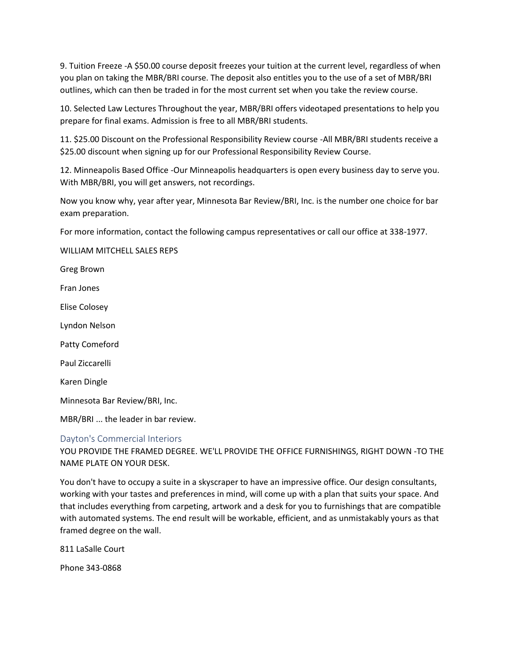9. Tuition Freeze -A \$50.00 course deposit freezes your tuition at the current level, regardless of when you plan on taking the MBR/BRI course. The deposit also entitles you to the use of a set of MBR/BRI outlines, which can then be traded in for the most current set when you take the review course.

10. Selected Law Lectures Throughout the year, MBR/BRI offers videotaped presentations to help you prepare for final exams. Admission is free to all MBR/BRI students.

11. \$25.00 Discount on the Professional Responsibility Review course -All MBR/BRI students receive a \$25.00 discount when signing up for our Professional Responsibility Review Course.

12. Minneapolis Based Office -Our Minneapolis headquarters is open every business day to serve you. With MBR/BRI, you will get answers, not recordings.

Now you know why, year after year, Minnesota Bar Review/BRI, Inc. is the number one choice for bar exam preparation.

For more information, contact the following campus representatives or call our office at 338-1977.

WILLIAM MITCHELL SALES REPS

Greg Brown

Fran Jones

Elise Colosey

Lyndon Nelson

Patty Comeford

Paul Ziccarelli

Karen Dingle

Minnesota Bar Review/BRI, Inc.

MBR/BRI ... the leader in bar review.

#### Dayton's Commercial Interiors

YOU PROVIDE THE FRAMED DEGREE. WE'LL PROVIDE THE OFFICE FURNISHINGS, RIGHT DOWN -TO THE NAME PLATE ON YOUR DESK.

You don't have to occupy a suite in a skyscraper to have an impressive office. Our design consultants, working with your tastes and preferences in mind, will come up with a plan that suits your space. And that includes everything from carpeting, artwork and a desk for you to furnishings that are compatible with automated systems. The end result will be workable, efficient, and as unmistakably yours as that framed degree on the wall.

811 LaSalle Court

Phone 343-0868